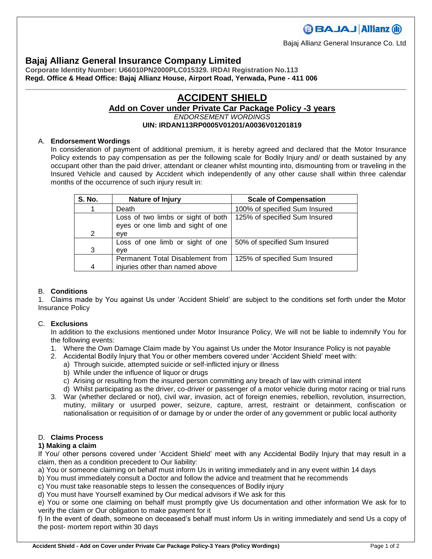## **Bajaj Allianz General Insurance Company Limited**

**Corporate Identity Number: U66010PN2000PLC015329. IRDAI Registration No.113 Regd. Office & Head Office: Bajaj Allianz House, Airport Road, Yerwada, Pune - 411 006**

# **ACCIDENT SHIELD**

## **Add on Cover under Private Car Package Policy -3 years** *ENDORSEMENT WORDINGS*

#### **UIN: IRDAN113RP0005V01201/A0036V01201819**

## A. **Endorsement Wordings**

In consideration of payment of additional premium, it is hereby agreed and declared that the Motor Insurance Policy extends to pay compensation as per the following scale for Bodily Injury and/ or death sustained by any occupant other than the paid driver, attendant or cleaner whilst mounting into, dismounting from or traveling in the Insured Vehicle and caused by Accident which independently of any other cause shall within three calendar months of the occurrence of such injury result in:

| <b>S. No.</b> | Nature of Injury                                                        | <b>Scale of Compensation</b>  |
|---------------|-------------------------------------------------------------------------|-------------------------------|
|               | Death                                                                   | 100% of specified Sum Insured |
|               | Loss of two limbs or sight of both<br>eyes or one limb and sight of one | 125% of specified Sum Insured |
| 2             | eve                                                                     |                               |
| 3             | Loss of one limb or sight of one<br>eve                                 | 50% of specified Sum Insured  |
| 4             | Permanent Total Disablement from<br>injuries other than named above     | 125% of specified Sum Insured |

#### B. **Conditions**

1. Claims made by You against Us under 'Accident Shield' are subject to the conditions set forth under the Motor Insurance Policy

#### C. **Exclusions**

In addition to the exclusions mentioned under Motor Insurance Policy, We will not be liable to indemnify You for the following events:

- 1. Where the Own Damage Claim made by You against Us under the Motor Insurance Policy is not payable
- 2. Accidental Bodily Injury that You or other members covered under 'Accident Shield' meet with:
	- a) Through suicide, attempted suicide or self-inflicted injury or illness
	- b) While under the influence of liquor or drugs
	- c) Arising or resulting from the insured person committing any breach of law with criminal intent
	- d) Whilst participating as the driver, co-driver or passenger of a motor vehicle during motor racing or trial runs
- 3. War (whether declared or not), civil war, invasion, act of foreign enemies, rebellion, revolution, insurrection, mutiny, military or usurped power, seizure, capture, arrest, restraint or detainment, confiscation or nationalisation or requisition of or damage by or under the order of any government or public local authority

### D. **Claims Process**

#### **1) Making a claim**

If You/ other persons covered under 'Accident Shield' meet with any Accidental Bodily Injury that may result in a claim, then as a condition precedent to Our liability:

a) You or someone claiming on behalf must inform Us in writing immediately and in any event within 14 days

- b) You must immediately consult a Doctor and follow the advice and treatment that he recommends
- c) You must take reasonable steps to lessen the consequences of Bodily injury

d) You must have Yourself examined by Our medical advisors if We ask for this

e) You or some one claiming on behalf must promptly give Us documentation and other information We ask for to verify the claim or Our obligation to make payment for it

f) In the event of death, someone on deceased's behalf must inform Us in writing immediately and send Us a copy of the post- mortem report within 30 days

**BBAJAJ Allianz (ii)** 

Bajaj Allianz General Insurance Co. Ltd